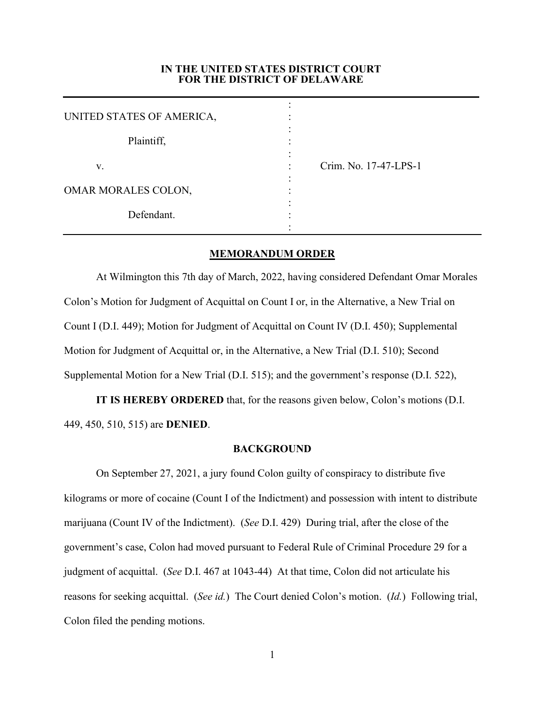### **IN THE UNITED STATES DISTRICT COURT FOR THE DISTRICT OF DELAWARE**

| UNITED STATES OF AMERICA, |                            |  |
|---------------------------|----------------------------|--|
| Plaintiff,                |                            |  |
| v.                        | Crim. No. 17-47-LPS-1<br>٠ |  |
| OMAR MORALES COLON,       |                            |  |
| Defendant.                |                            |  |

## **MEMORANDUM ORDER**

At Wilmington this 7th day of March, 2022, having considered Defendant Omar Morales Colon's Motion for Judgment of Acquittal on Count I or, in the Alternative, a New Trial on Count I (D.I. 449); Motion for Judgment of Acquittal on Count IV (D.I. 450); Supplemental Motion for Judgment of Acquittal or, in the Alternative, a New Trial (D.I. 510); Second Supplemental Motion for a New Trial (D.I. 515); and the government's response (D.I. 522),

**IT IS HEREBY ORDERED** that, for the reasons given below, Colon's motions (D.I. 449, 450, 510, 515) are **DENIED**.

#### **BACKGROUND**

 On September 27, 2021, a jury found Colon guilty of conspiracy to distribute five kilograms or more of cocaine (Count I of the Indictment) and possession with intent to distribute marijuana (Count IV of the Indictment). (*See* D.I. 429) During trial, after the close of the government's case, Colon had moved pursuant to Federal Rule of Criminal Procedure 29 for a judgment of acquittal. (*See* D.I. 467 at 1043-44) At that time, Colon did not articulate his reasons for seeking acquittal. (*See id.*) The Court denied Colon's motion. (*Id.*) Following trial, Colon filed the pending motions.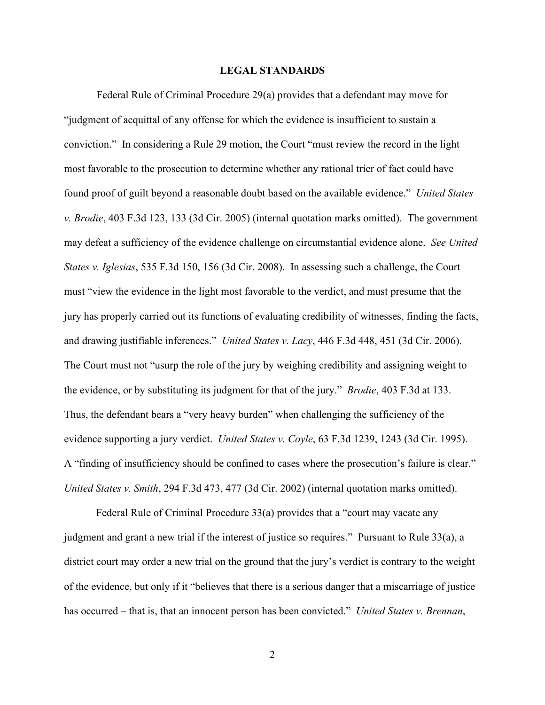## **LEGAL STANDARDS**

Federal Rule of Criminal Procedure 29(a) provides that a defendant may move for "judgment of acquittal of any offense for which the evidence is insufficient to sustain a conviction." In considering a Rule 29 motion, the Court "must review the record in the light most favorable to the prosecution to determine whether any rational trier of fact could have found proof of guilt beyond a reasonable doubt based on the available evidence." *United States v. Brodie*, 403 F.3d 123, 133 (3d Cir. 2005) (internal quotation marks omitted). The government may defeat a sufficiency of the evidence challenge on circumstantial evidence alone. *See United States v. Iglesias*, 535 F.3d 150, 156 (3d Cir. 2008). In assessing such a challenge, the Court must "view the evidence in the light most favorable to the verdict, and must presume that the jury has properly carried out its functions of evaluating credibility of witnesses, finding the facts, and drawing justifiable inferences." *United States v. Lacy*, 446 F.3d 448, 451 (3d Cir. 2006). The Court must not "usurp the role of the jury by weighing credibility and assigning weight to the evidence, or by substituting its judgment for that of the jury." *Brodie*, 403 F.3d at 133. Thus, the defendant bears a "very heavy burden" when challenging the sufficiency of the evidence supporting a jury verdict. *United States v. Coyle*, 63 F.3d 1239, 1243 (3d Cir. 1995). A "finding of insufficiency should be confined to cases where the prosecution's failure is clear." *United States v. Smith*, 294 F.3d 473, 477 (3d Cir. 2002) (internal quotation marks omitted).

 Federal Rule of Criminal Procedure 33(a) provides that a "court may vacate any judgment and grant a new trial if the interest of justice so requires." Pursuant to Rule 33(a), a district court may order a new trial on the ground that the jury's verdict is contrary to the weight of the evidence, but only if it "believes that there is a serious danger that a miscarriage of justice has occurred – that is, that an innocent person has been convicted." *United States v. Brennan*,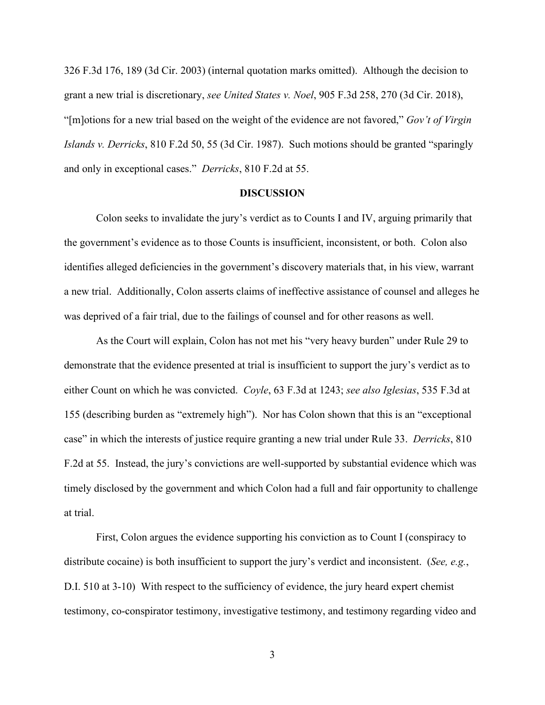326 F.3d 176, 189 (3d Cir. 2003) (internal quotation marks omitted). Although the decision to grant a new trial is discretionary, *see United States v. Noel*, 905 F.3d 258, 270 (3d Cir. 2018), "[m]otions for a new trial based on the weight of the evidence are not favored," *Gov't of Virgin Islands v. Derricks*, 810 F.2d 50, 55 (3d Cir. 1987). Such motions should be granted "sparingly and only in exceptional cases." *Derricks*, 810 F.2d at 55.

#### **DISCUSSION**

 Colon seeks to invalidate the jury's verdict as to Counts I and IV, arguing primarily that the government's evidence as to those Counts is insufficient, inconsistent, or both. Colon also identifies alleged deficiencies in the government's discovery materials that, in his view, warrant a new trial. Additionally, Colon asserts claims of ineffective assistance of counsel and alleges he was deprived of a fair trial, due to the failings of counsel and for other reasons as well.

 As the Court will explain, Colon has not met his "very heavy burden" under Rule 29 to demonstrate that the evidence presented at trial is insufficient to support the jury's verdict as to either Count on which he was convicted. *Coyle*, 63 F.3d at 1243; *see also Iglesias*, 535 F.3d at 155 (describing burden as "extremely high"). Nor has Colon shown that this is an "exceptional case" in which the interests of justice require granting a new trial under Rule 33. *Derricks*, 810 F.2d at 55. Instead, the jury's convictions are well-supported by substantial evidence which was timely disclosed by the government and which Colon had a full and fair opportunity to challenge at trial.

First, Colon argues the evidence supporting his conviction as to Count I (conspiracy to distribute cocaine) is both insufficient to support the jury's verdict and inconsistent. (*See, e.g.*, D.I. 510 at 3-10) With respect to the sufficiency of evidence, the jury heard expert chemist testimony, co-conspirator testimony, investigative testimony, and testimony regarding video and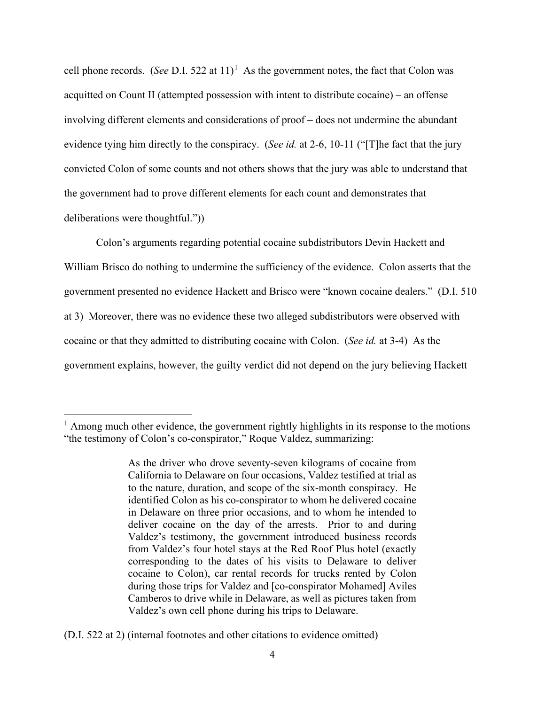cell phone records. (*See* D.I. 522 at  $11$ <sup> $1$ </sup> As the government notes, the fact that Colon was acquitted on Count II (attempted possession with intent to distribute cocaine) – an offense involving different elements and considerations of proof – does not undermine the abundant evidence tying him directly to the conspiracy. (*See id.* at 2-6, 10-11 ("[T]he fact that the jury convicted Colon of some counts and not others shows that the jury was able to understand that the government had to prove different elements for each count and demonstrates that deliberations were thoughtful."))

 Colon's arguments regarding potential cocaine subdistributors Devin Hackett and William Brisco do nothing to undermine the sufficiency of the evidence. Colon asserts that the government presented no evidence Hackett and Brisco were "known cocaine dealers." (D.I. 510 at 3) Moreover, there was no evidence these two alleged subdistributors were observed with cocaine or that they admitted to distributing cocaine with Colon. (*See id.* at 3-4) As the government explains, however, the guilty verdict did not depend on the jury believing Hackett

 $<sup>1</sup>$  Among much other evidence, the government rightly highlights in its response to the motions</sup> "the testimony of Colon's co-conspirator," Roque Valdez, summarizing:

As the driver who drove seventy-seven kilograms of cocaine from California to Delaware on four occasions, Valdez testified at trial as to the nature, duration, and scope of the six-month conspiracy. He identified Colon as his co-conspirator to whom he delivered cocaine in Delaware on three prior occasions, and to whom he intended to deliver cocaine on the day of the arrests. Prior to and during Valdez's testimony, the government introduced business records from Valdez's four hotel stays at the Red Roof Plus hotel (exactly corresponding to the dates of his visits to Delaware to deliver cocaine to Colon), car rental records for trucks rented by Colon during those trips for Valdez and [co-conspirator Mohamed] Aviles Camberos to drive while in Delaware, as well as pictures taken from Valdez's own cell phone during his trips to Delaware.

<sup>(</sup>D.I. 522 at 2) (internal footnotes and other citations to evidence omitted)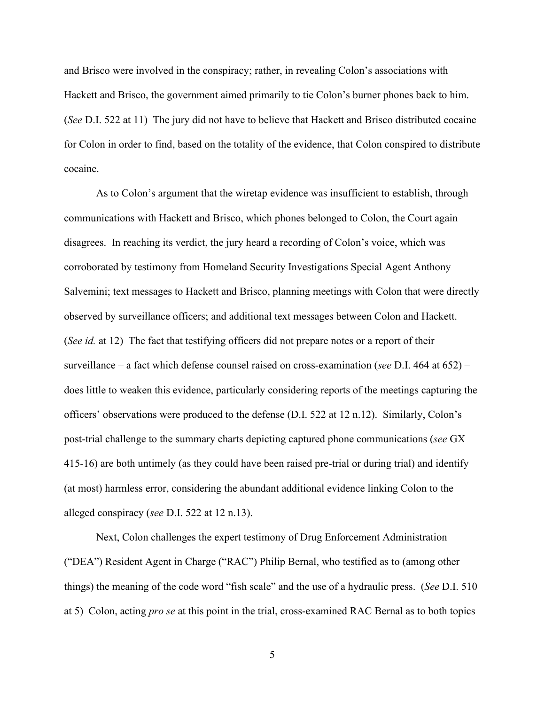and Brisco were involved in the conspiracy; rather, in revealing Colon's associations with Hackett and Brisco, the government aimed primarily to tie Colon's burner phones back to him. (*See* D.I. 522 at 11) The jury did not have to believe that Hackett and Brisco distributed cocaine for Colon in order to find, based on the totality of the evidence, that Colon conspired to distribute cocaine.

As to Colon's argument that the wiretap evidence was insufficient to establish, through communications with Hackett and Brisco, which phones belonged to Colon, the Court again disagrees. In reaching its verdict, the jury heard a recording of Colon's voice, which was corroborated by testimony from Homeland Security Investigations Special Agent Anthony Salvemini; text messages to Hackett and Brisco, planning meetings with Colon that were directly observed by surveillance officers; and additional text messages between Colon and Hackett. (*See id.* at 12) The fact that testifying officers did not prepare notes or a report of their surveillance – a fact which defense counsel raised on cross-examination (*see* D.I. 464 at 652) – does little to weaken this evidence, particularly considering reports of the meetings capturing the officers' observations were produced to the defense (D.I. 522 at 12 n.12). Similarly, Colon's post-trial challenge to the summary charts depicting captured phone communications (*see* GX 415-16) are both untimely (as they could have been raised pre-trial or during trial) and identify (at most) harmless error, considering the abundant additional evidence linking Colon to the alleged conspiracy (*see* D.I. 522 at 12 n.13).

 Next, Colon challenges the expert testimony of Drug Enforcement Administration ("DEA") Resident Agent in Charge ("RAC") Philip Bernal, who testified as to (among other things) the meaning of the code word "fish scale" and the use of a hydraulic press. (*See* D.I. 510 at 5) Colon, acting *pro se* at this point in the trial, cross-examined RAC Bernal as to both topics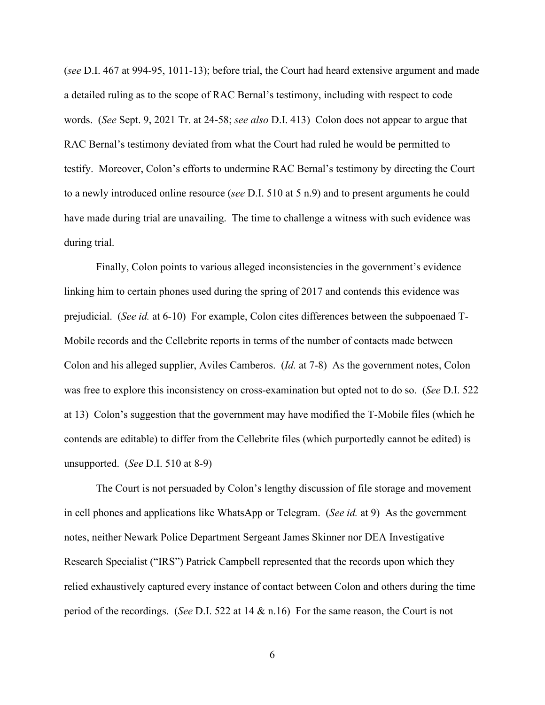(*see* D.I. 467 at 994-95, 1011-13); before trial, the Court had heard extensive argument and made a detailed ruling as to the scope of RAC Bernal's testimony, including with respect to code words. (*See* Sept. 9, 2021 Tr. at 24-58; *see also* D.I. 413) Colon does not appear to argue that RAC Bernal's testimony deviated from what the Court had ruled he would be permitted to testify. Moreover, Colon's efforts to undermine RAC Bernal's testimony by directing the Court to a newly introduced online resource (*see* D.I. 510 at 5 n.9) and to present arguments he could have made during trial are unavailing. The time to challenge a witness with such evidence was during trial.

 Finally, Colon points to various alleged inconsistencies in the government's evidence linking him to certain phones used during the spring of 2017 and contends this evidence was prejudicial. (*See id.* at 6-10) For example, Colon cites differences between the subpoenaed T-Mobile records and the Cellebrite reports in terms of the number of contacts made between Colon and his alleged supplier, Aviles Camberos. (*Id.* at 7-8) As the government notes, Colon was free to explore this inconsistency on cross-examination but opted not to do so. (*See* D.I. 522 at 13) Colon's suggestion that the government may have modified the T-Mobile files (which he contends are editable) to differ from the Cellebrite files (which purportedly cannot be edited) is unsupported. (*See* D.I. 510 at 8-9)

 The Court is not persuaded by Colon's lengthy discussion of file storage and movement in cell phones and applications like WhatsApp or Telegram. (*See id.* at 9) As the government notes, neither Newark Police Department Sergeant James Skinner nor DEA Investigative Research Specialist ("IRS") Patrick Campbell represented that the records upon which they relied exhaustively captured every instance of contact between Colon and others during the time period of the recordings. (*See* D.I. 522 at 14 & n.16) For the same reason, the Court is not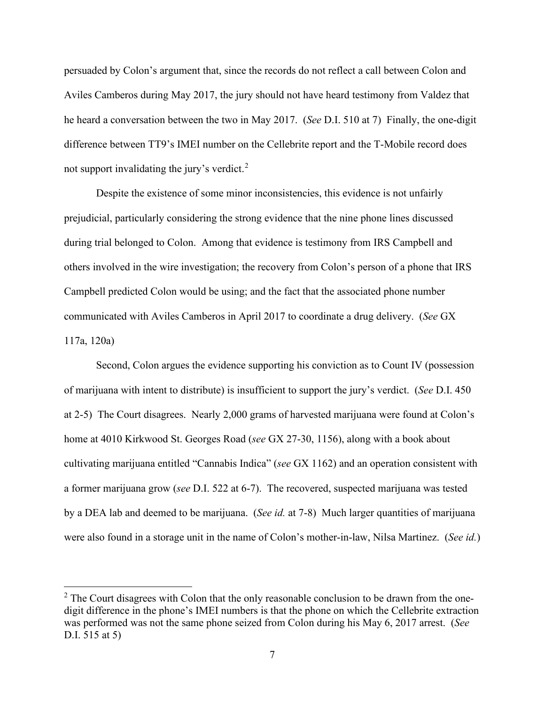persuaded by Colon's argument that, since the records do not reflect a call between Colon and Aviles Camberos during May 2017, the jury should not have heard testimony from Valdez that he heard a conversation between the two in May 2017. (*See* D.I. 510 at 7) Finally, the one-digit difference between TT9's IMEI number on the Cellebrite report and the T-Mobile record does not support invalidating the jury's verdict.<sup>2</sup>

Despite the existence of some minor inconsistencies, this evidence is not unfairly prejudicial, particularly considering the strong evidence that the nine phone lines discussed during trial belonged to Colon. Among that evidence is testimony from IRS Campbell and others involved in the wire investigation; the recovery from Colon's person of a phone that IRS Campbell predicted Colon would be using; and the fact that the associated phone number communicated with Aviles Camberos in April 2017 to coordinate a drug delivery. (*See* GX 117a, 120a)

 Second, Colon argues the evidence supporting his conviction as to Count IV (possession of marijuana with intent to distribute) is insufficient to support the jury's verdict. (*See* D.I. 450 at 2-5) The Court disagrees. Nearly 2,000 grams of harvested marijuana were found at Colon's home at 4010 Kirkwood St. Georges Road (*see* GX 27-30, 1156), along with a book about cultivating marijuana entitled "Cannabis Indica" (*see* GX 1162) and an operation consistent with a former marijuana grow (*see* D.I. 522 at 6-7). The recovered, suspected marijuana was tested by a DEA lab and deemed to be marijuana. (*See id.* at 7-8) Much larger quantities of marijuana were also found in a storage unit in the name of Colon's mother-in-law, Nilsa Martinez. (*See id.*)

 $2$  The Court disagrees with Colon that the only reasonable conclusion to be drawn from the onedigit difference in the phone's IMEI numbers is that the phone on which the Cellebrite extraction was performed was not the same phone seized from Colon during his May 6, 2017 arrest. (*See* D.I. 515 at 5)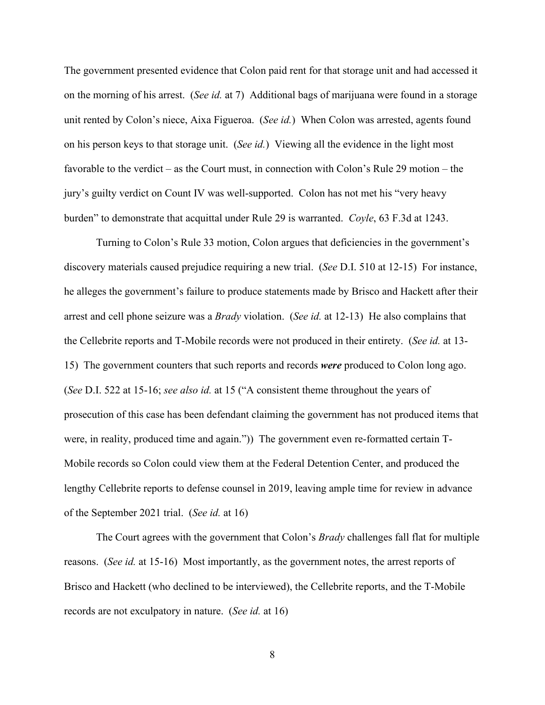The government presented evidence that Colon paid rent for that storage unit and had accessed it on the morning of his arrest. (*See id.* at 7) Additional bags of marijuana were found in a storage unit rented by Colon's niece, Aixa Figueroa. (*See id.*) When Colon was arrested, agents found on his person keys to that storage unit. (*See id.*) Viewing all the evidence in the light most favorable to the verdict – as the Court must, in connection with Colon's Rule 29 motion – the jury's guilty verdict on Count IV was well-supported. Colon has not met his "very heavy burden" to demonstrate that acquittal under Rule 29 is warranted. *Coyle*, 63 F.3d at 1243.

 Turning to Colon's Rule 33 motion, Colon argues that deficiencies in the government's discovery materials caused prejudice requiring a new trial. (*See* D.I. 510 at 12-15) For instance, he alleges the government's failure to produce statements made by Brisco and Hackett after their arrest and cell phone seizure was a *Brady* violation. (*See id.* at 12-13) He also complains that the Cellebrite reports and T-Mobile records were not produced in their entirety. (*See id.* at 13- 15) The government counters that such reports and records *were* produced to Colon long ago. (*See* D.I. 522 at 15-16; *see also id.* at 15 ("A consistent theme throughout the years of prosecution of this case has been defendant claiming the government has not produced items that were, in reality, produced time and again.")) The government even re-formatted certain T-Mobile records so Colon could view them at the Federal Detention Center, and produced the lengthy Cellebrite reports to defense counsel in 2019, leaving ample time for review in advance of the September 2021 trial. (*See id.* at 16)

 The Court agrees with the government that Colon's *Brady* challenges fall flat for multiple reasons. (*See id.* at 15-16) Most importantly, as the government notes, the arrest reports of Brisco and Hackett (who declined to be interviewed), the Cellebrite reports, and the T-Mobile records are not exculpatory in nature. (*See id.* at 16)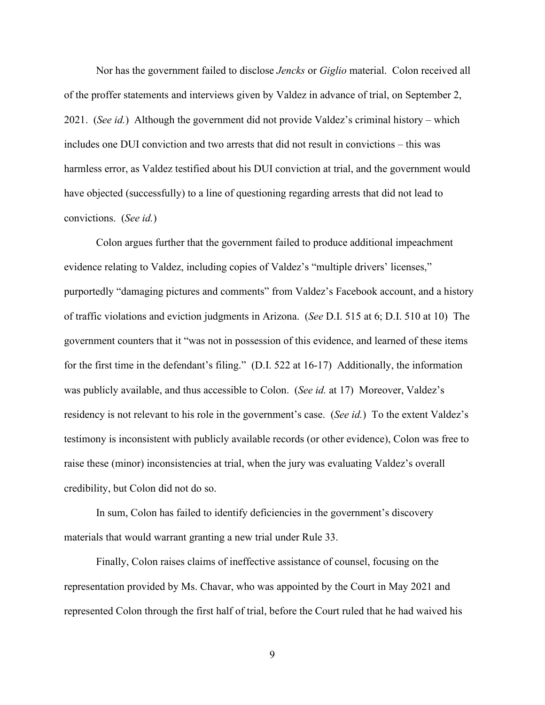Nor has the government failed to disclose *Jencks* or *Giglio* material. Colon received all of the proffer statements and interviews given by Valdez in advance of trial, on September 2, 2021. (*See id.*) Although the government did not provide Valdez's criminal history – which includes one DUI conviction and two arrests that did not result in convictions – this was harmless error, as Valdez testified about his DUI conviction at trial, and the government would have objected (successfully) to a line of questioning regarding arrests that did not lead to convictions. (*See id.*)

 Colon argues further that the government failed to produce additional impeachment evidence relating to Valdez, including copies of Valdez's "multiple drivers' licenses," purportedly "damaging pictures and comments" from Valdez's Facebook account, and a history of traffic violations and eviction judgments in Arizona. (*See* D.I. 515 at 6; D.I. 510 at 10) The government counters that it "was not in possession of this evidence, and learned of these items for the first time in the defendant's filing." (D.I. 522 at 16-17) Additionally, the information was publicly available, and thus accessible to Colon. (*See id.* at 17) Moreover, Valdez's residency is not relevant to his role in the government's case. (*See id.*) To the extent Valdez's testimony is inconsistent with publicly available records (or other evidence), Colon was free to raise these (minor) inconsistencies at trial, when the jury was evaluating Valdez's overall credibility, but Colon did not do so.

 In sum, Colon has failed to identify deficiencies in the government's discovery materials that would warrant granting a new trial under Rule 33.

Finally, Colon raises claims of ineffective assistance of counsel, focusing on the representation provided by Ms. Chavar, who was appointed by the Court in May 2021 and represented Colon through the first half of trial, before the Court ruled that he had waived his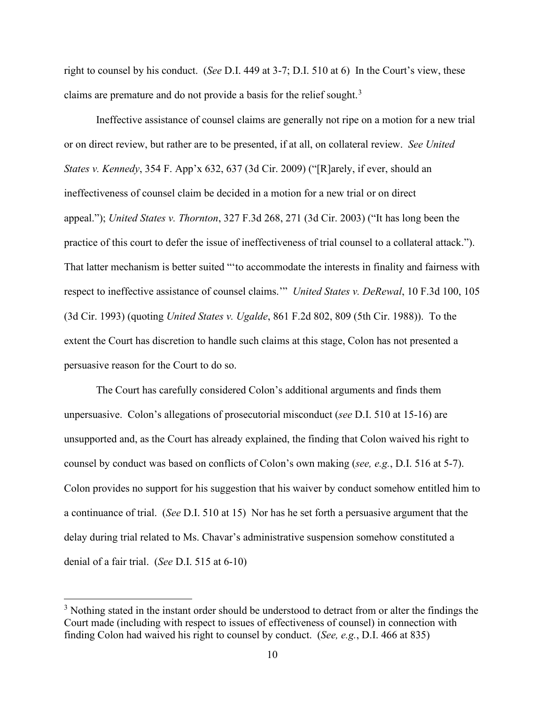right to counsel by his conduct. (*See* D.I. 449 at 3-7; D.I. 510 at 6) In the Court's view, these claims are premature and do not provide a basis for the relief sought.<sup>3</sup>

 Ineffective assistance of counsel claims are generally not ripe on a motion for a new trial or on direct review, but rather are to be presented, if at all, on collateral review. *See United States v. Kennedy*, 354 F. App'x 632, 637 (3d Cir. 2009) ("[R]arely, if ever, should an ineffectiveness of counsel claim be decided in a motion for a new trial or on direct appeal."); *United States v. Thornton*, 327 F.3d 268, 271 (3d Cir. 2003) ("It has long been the practice of this court to defer the issue of ineffectiveness of trial counsel to a collateral attack."). That latter mechanism is better suited "'to accommodate the interests in finality and fairness with respect to ineffective assistance of counsel claims.'" *United States v. DeRewal*, 10 F.3d 100, 105 (3d Cir. 1993) (quoting *United States v. Ugalde*, 861 F.2d 802, 809 (5th Cir. 1988)). To the extent the Court has discretion to handle such claims at this stage, Colon has not presented a persuasive reason for the Court to do so.

 The Court has carefully considered Colon's additional arguments and finds them unpersuasive. Colon's allegations of prosecutorial misconduct (*see* D.I. 510 at 15-16) are unsupported and, as the Court has already explained, the finding that Colon waived his right to counsel by conduct was based on conflicts of Colon's own making (*see, e.g.*, D.I. 516 at 5-7). Colon provides no support for his suggestion that his waiver by conduct somehow entitled him to a continuance of trial. (*See* D.I. 510 at 15) Nor has he set forth a persuasive argument that the delay during trial related to Ms. Chavar's administrative suspension somehow constituted a denial of a fair trial. (*See* D.I. 515 at 6-10)

 $3$  Nothing stated in the instant order should be understood to detract from or alter the findings the Court made (including with respect to issues of effectiveness of counsel) in connection with finding Colon had waived his right to counsel by conduct. (*See, e.g.*, D.I. 466 at 835)